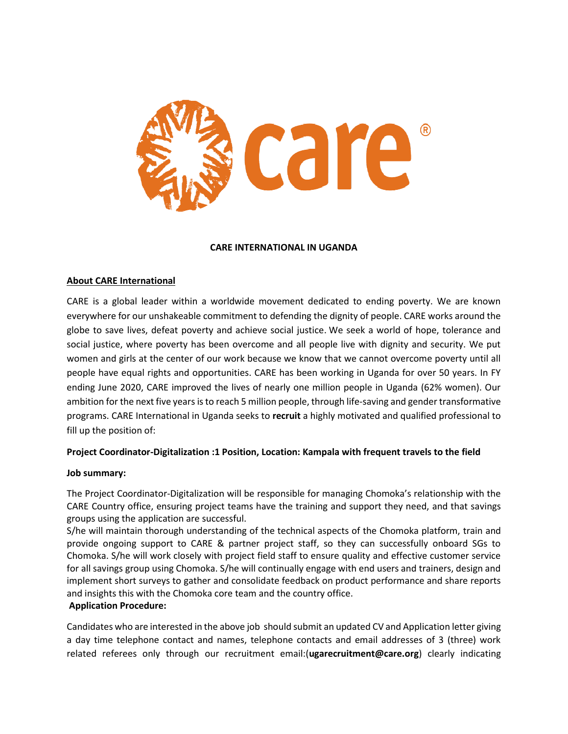

### **CARE INTERNATIONAL IN UGANDA**

### **About CARE International**

CARE is a global leader within a worldwide movement dedicated to ending poverty. We are known everywhere for our unshakeable commitment to defending the dignity of people. CARE works around the globe to save lives, defeat poverty and achieve social justice. We seek a world of hope, tolerance and social justice, where poverty has been overcome and all people live with dignity and security. We put women and girls at the center of our work because we know that we cannot overcome poverty until all people have equal rights and opportunities. CARE has been working in Uganda for over 50 years. In FY ending June 2020, CARE improved the lives of nearly one million people in Uganda (62% women). Our ambition for the next five years is to reach 5 million people, through life-saving and gender transformative programs. CARE International in Uganda seeks to **recruit** a highly motivated and qualified professional to fill up the position of:

### **Project Coordinator-Digitalization :1 Position, Location: Kampala with frequent travels to the field**

#### **Job summary:**

The Project Coordinator-Digitalization will be responsible for managing Chomoka's relationship with the CARE Country office, ensuring project teams have the training and support they need, and that savings groups using the application are successful.

S/he will maintain thorough understanding of the technical aspects of the Chomoka platform, train and provide ongoing support to CARE & partner project staff, so they can successfully onboard SGs to Chomoka. S/he will work closely with project field staff to ensure quality and effective customer service for all savings group using Chomoka. S/he will continually engage with end users and trainers, design and implement short surveys to gather and consolidate feedback on product performance and share reports and insights this with the Chomoka core team and the country office.

### **Application Procedure:**

Candidates who are interested in the above job should submit an updated CV and Application letter giving a day time telephone contact and names, telephone contacts and email addresses of 3 (three) work related referees only through our recruitment email:(**[ugarecruitment@care.org](mailto:ugarecruitment@care.org)**) clearly indicating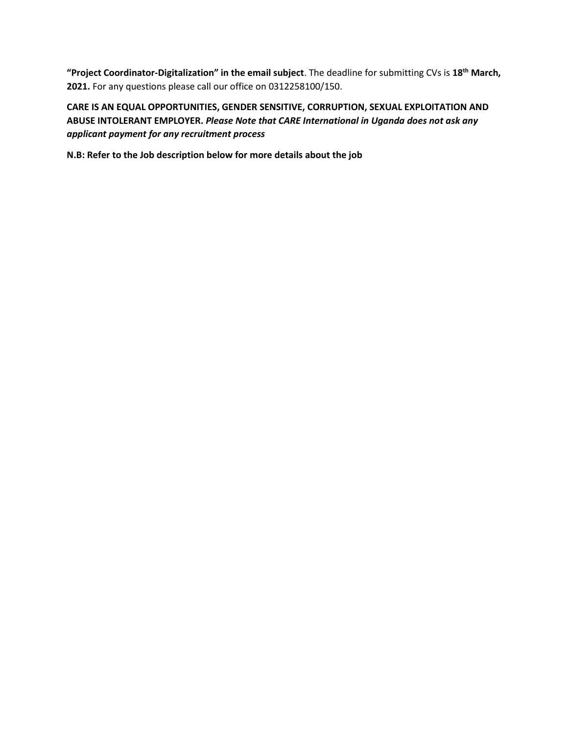**"Project Coordinator-Digitalization" in the email subject**. The deadline for submitting CVs is **18th March, 2021.** For any questions please call our office on 0312258100/150.

**CARE IS AN EQUAL OPPORTUNITIES, GENDER SENSITIVE, CORRUPTION, SEXUAL EXPLOITATION AND ABUSE INTOLERANT EMPLOYER.** *Please Note that CARE International in Uganda does not ask any applicant payment for any recruitment process*

**N.B: Refer to the Job description below for more details about the job**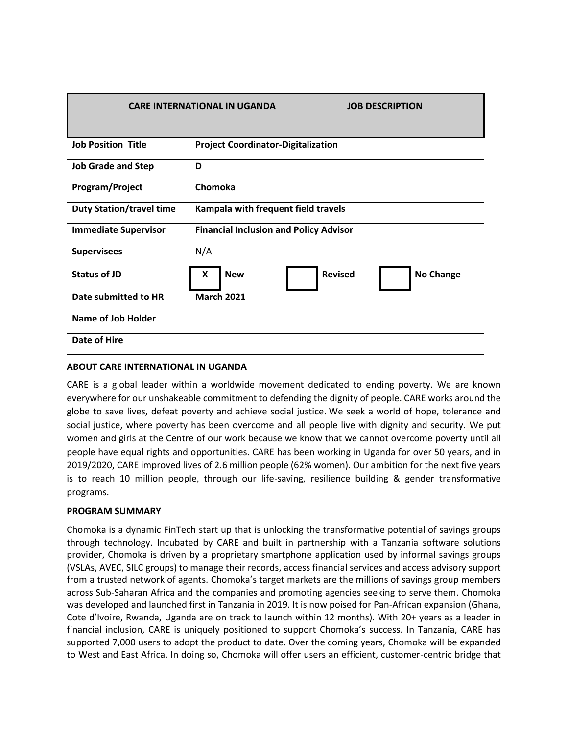| <b>CARE INTERNATIONAL IN UGANDA</b> |                                               |            |                | <b>JOB DESCRIPTION</b> |  |
|-------------------------------------|-----------------------------------------------|------------|----------------|------------------------|--|
| <b>Job Position Title</b>           | <b>Project Coordinator-Digitalization</b>     |            |                |                        |  |
| <b>Job Grade and Step</b>           | D                                             |            |                |                        |  |
| Program/Project                     | Chomoka                                       |            |                |                        |  |
| <b>Duty Station/travel time</b>     | Kampala with frequent field travels           |            |                |                        |  |
| <b>Immediate Supervisor</b>         | <b>Financial Inclusion and Policy Advisor</b> |            |                |                        |  |
| <b>Supervisees</b>                  | N/A                                           |            |                |                        |  |
| Status of JD                        | X                                             | <b>New</b> | <b>Revised</b> | <b>No Change</b>       |  |
| Date submitted to HR                | <b>March 2021</b>                             |            |                |                        |  |
| <b>Name of Job Holder</b>           |                                               |            |                |                        |  |
| Date of Hire                        |                                               |            |                |                        |  |

# **ABOUT CARE INTERNATIONAL IN UGANDA**

CARE is a global leader within a worldwide movement dedicated to ending poverty. We are known everywhere for our unshakeable commitment to defending the dignity of people. CARE works around the globe to save lives, defeat poverty and achieve social justice. We seek a world of hope, tolerance and social justice, where poverty has been overcome and all people live with dignity and security. We put women and girls at the Centre of our work because we know that we cannot overcome poverty until all people have equal rights and opportunities. CARE has been working in Uganda for over 50 years, and in 2019/2020, CARE improved lives of 2.6 million people (62% women). Our ambition for the next five years is to reach 10 million people, through our life-saving, resilience building & gender transformative programs.

### **PROGRAM SUMMARY**

Chomoka is a dynamic FinTech start up that is unlocking the transformative potential of savings groups through technology. Incubated by CARE and built in partnership with a Tanzania software solutions provider, Chomoka is driven by a proprietary smartphone application used by informal savings groups (VSLAs, AVEC, SILC groups) to manage their records, access financial services and access advisory support from a trusted network of agents. Chomoka's target markets are the millions of savings group members across Sub-Saharan Africa and the companies and promoting agencies seeking to serve them. Chomoka was developed and launched first in Tanzania in 2019. It is now poised for Pan-African expansion (Ghana, Cote d'Ivoire, Rwanda, Uganda are on track to launch within 12 months). With 20+ years as a leader in financial inclusion, CARE is uniquely positioned to support Chomoka's success. In Tanzania, CARE has supported 7,000 users to adopt the product to date. Over the coming years, Chomoka will be expanded to West and East Africa. In doing so, Chomoka will offer users an efficient, customer-centric bridge that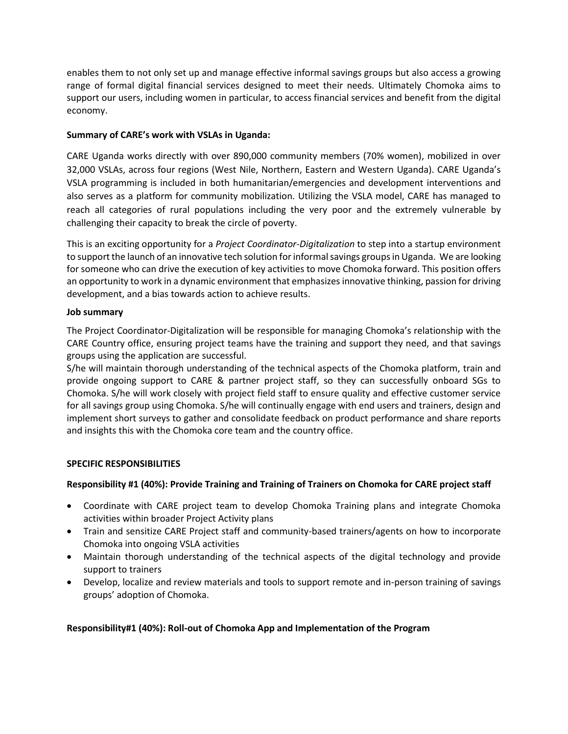enables them to not only set up and manage effective informal savings groups but also access a growing range of formal digital financial services designed to meet their needs. Ultimately Chomoka aims to support our users, including women in particular, to access financial services and benefit from the digital economy.

# **Summary of CARE's work with VSLAs in Uganda:**

CARE Uganda works directly with over 890,000 community members (70% women), mobilized in over 32,000 VSLAs, across four regions (West Nile, Northern, Eastern and Western Uganda). CARE Uganda's VSLA programming is included in both humanitarian/emergencies and development interventions and also serves as a platform for community mobilization. Utilizing the VSLA model, CARE has managed to reach all categories of rural populations including the very poor and the extremely vulnerable by challenging their capacity to break the circle of poverty.

This is an exciting opportunity for a *Project Coordinator-Digitalization* to step into a startup environment to support the launch of an innovative tech solution for informal savings groups in Uganda. We are looking for someone who can drive the execution of key activities to move Chomoka forward. This position offers an opportunity to work in a dynamic environment that emphasizes innovative thinking, passion for driving development, and a bias towards action to achieve results.

### **Job summary**

The Project Coordinator-Digitalization will be responsible for managing Chomoka's relationship with the CARE Country office, ensuring project teams have the training and support they need, and that savings groups using the application are successful.

S/he will maintain thorough understanding of the technical aspects of the Chomoka platform, train and provide ongoing support to CARE & partner project staff, so they can successfully onboard SGs to Chomoka. S/he will work closely with project field staff to ensure quality and effective customer service for all savings group using Chomoka. S/he will continually engage with end users and trainers, design and implement short surveys to gather and consolidate feedback on product performance and share reports and insights this with the Chomoka core team and the country office.

### **SPECIFIC RESPONSIBILITIES**

### **Responsibility #1 (40%): Provide Training and Training of Trainers on Chomoka for CARE project staff**

- Coordinate with CARE project team to develop Chomoka Training plans and integrate Chomoka activities within broader Project Activity plans
- Train and sensitize CARE Project staff and community-based trainers/agents on how to incorporate Chomoka into ongoing VSLA activities
- Maintain thorough understanding of the technical aspects of the digital technology and provide support to trainers
- Develop, localize and review materials and tools to support remote and in-person training of savings groups' adoption of Chomoka.

### **Responsibility#1 (40%): Roll-out of Chomoka App and Implementation of the Program**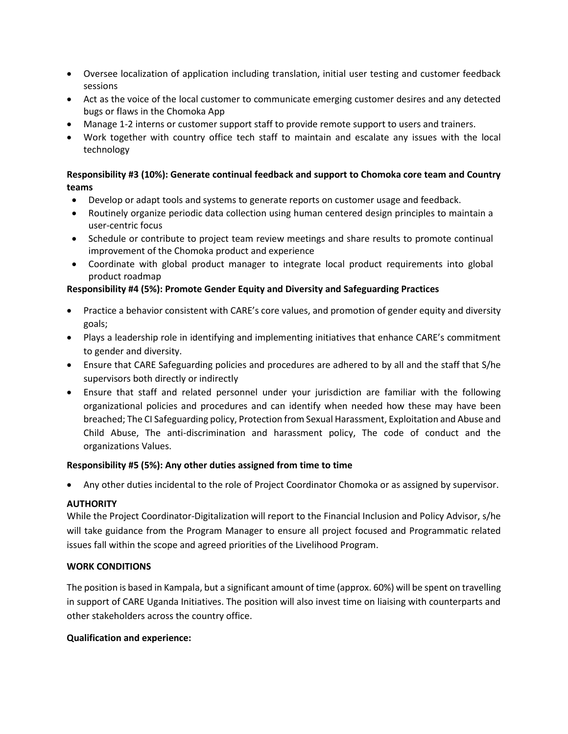- Oversee localization of application including translation, initial user testing and customer feedback sessions
- Act as the voice of the local customer to communicate emerging customer desires and any detected bugs or flaws in the Chomoka App
- Manage 1-2 interns or customer support staff to provide remote support to users and trainers.
- Work together with country office tech staff to maintain and escalate any issues with the local technology

# **Responsibility #3 (10%): Generate continual feedback and support to Chomoka core team and Country teams**

- Develop or adapt tools and systems to generate reports on customer usage and feedback.
- Routinely organize periodic data collection using human centered design principles to maintain a user-centric focus
- Schedule or contribute to project team review meetings and share results to promote continual improvement of the Chomoka product and experience
- Coordinate with global product manager to integrate local product requirements into global product roadmap

# **Responsibility #4 (5%): Promote Gender Equity and Diversity and Safeguarding Practices**

- Practice a behavior consistent with CARE's core values, and promotion of gender equity and diversity goals;
- Plays a leadership role in identifying and implementing initiatives that enhance CARE's commitment to gender and diversity.
- Ensure that CARE Safeguarding policies and procedures are adhered to by all and the staff that S/he supervisors both directly or indirectly
- Ensure that staff and related personnel under your jurisdiction are familiar with the following organizational policies and procedures and can identify when needed how these may have been breached; The CI Safeguarding policy, Protection from Sexual Harassment, Exploitation and Abuse and Child Abuse, The anti-discrimination and harassment policy, The code of conduct and the organizations Values.

### **Responsibility #5 (5%): Any other duties assigned from time to time**

Any other duties incidental to the role of Project Coordinator Chomoka or as assigned by supervisor.

# **AUTHORITY**

While the Project Coordinator-Digitalization will report to the Financial Inclusion and Policy Advisor, s/he will take guidance from the Program Manager to ensure all project focused and Programmatic related issues fall within the scope and agreed priorities of the Livelihood Program.

### **WORK CONDITIONS**

The position is based in Kampala, but a significant amount of time (approx. 60%) will be spent on travelling in support of CARE Uganda Initiatives. The position will also invest time on liaising with counterparts and other stakeholders across the country office.

### **Qualification and experience:**